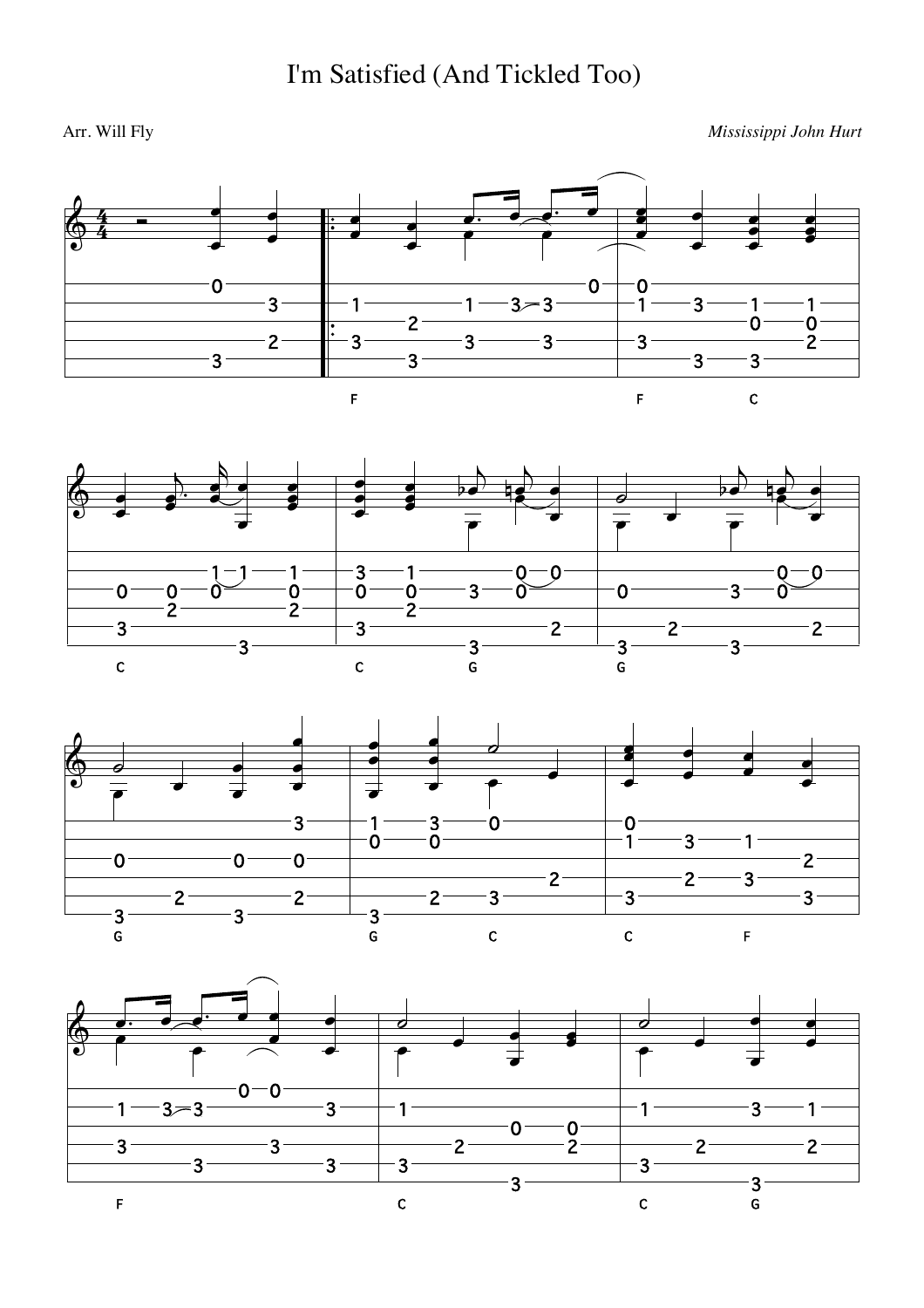

Arr. Will Fly Mississippi John Hurt  $\overline{0}$  $\overline{O}$  $\overline{0}$  $3 \overline{1}$  $3 3 - 3$  $\mathbf{1}$  $\mathbf{1}$  $\mathbf{1}$  $\overline{1}$  $\overline{2}$  $\dot{o}$  $\mathbf{0}$  $2 -3 3 -3 \overline{3}$  $\overline{2}$  $-3 3 3 3 \mathbf{c}$  $\bar{\mathsf{F}}$  $\bar{\mathsf{F}}$  $\cdot$  3  $\frac{0}{0}$  $\overline{0}$  $1 - 1$  $\mathbf{1}$  $\mathbf{1}$  $\overline{O}$  $-0$  $\frac{0}{2}$  $3 \overline{0}$  $\overline{\mathbf{0}}$  $\alpha$  $\mathbf{0}$  $\overline{0}$  $\overline{0}$  $3 \delta$  $\overline{2}$  $2 -3$  $\overline{3}$  $2 \overline{2}$  $2<sup>1</sup>$  $\frac{3}{6}$  $3 \overline{3}$  $3 \mathbf{c}$  $\mathbf{c}$  $\overline{G}$  $\bullet$  $-0$  $\overline{3}$  $\overline{0}$  $\overline{1}$  $3 \overline{0}$  $\mathbf{r}$  $-3 \overline{0}$  $-1$  $\overline{0}$  $\overline{0}$  $\overline{0}$  $2 2 2 3 \mathbf{2}^{\prime}$  $-2 -3 -3 \overline{2}$  $3 \frac{3}{6}$  $\frac{3}{6}$  $3 \mathbf c$  $\mathbf c$ F d  $\overline{\boldsymbol{a}}$  $\overline{\mathbf{r}}$  $\overline{\phantom{a}}$  $0 - 0$  $3 - 3$  $-3 -1$  $3 -1 -1 -1 -0$ <br>-2- $0 -2 -2 -3 -3 2 3 -3 \overline{\mathbf{3}}$  $\overline{3}$ 

 $-3-$ 

 $\mathbf{c}$ 

 $3<sup>1</sup>$ 

 $\tilde{G}$ 

 $\mathbf{c}$ 

 $\bar{\mathbf{F}}$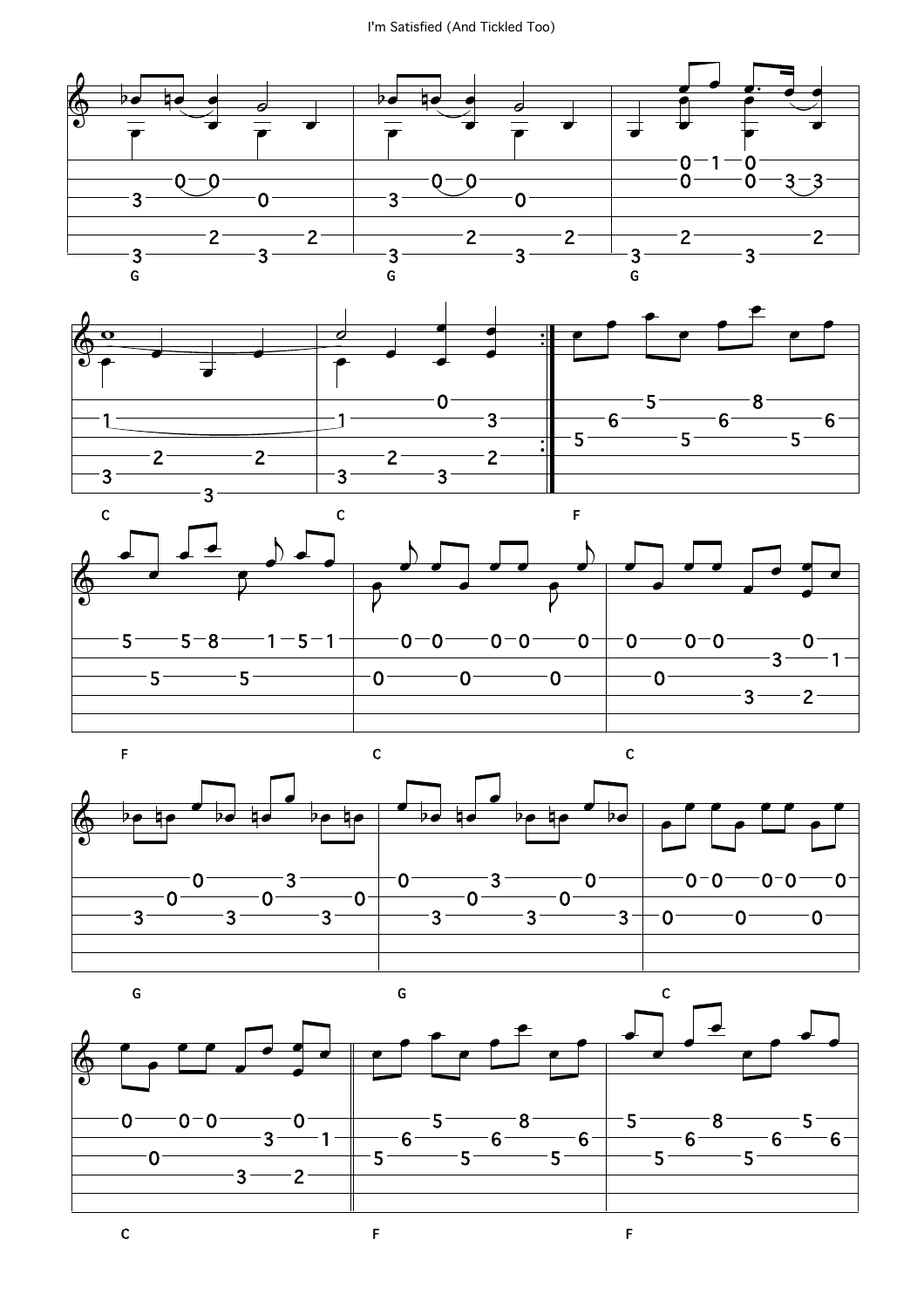







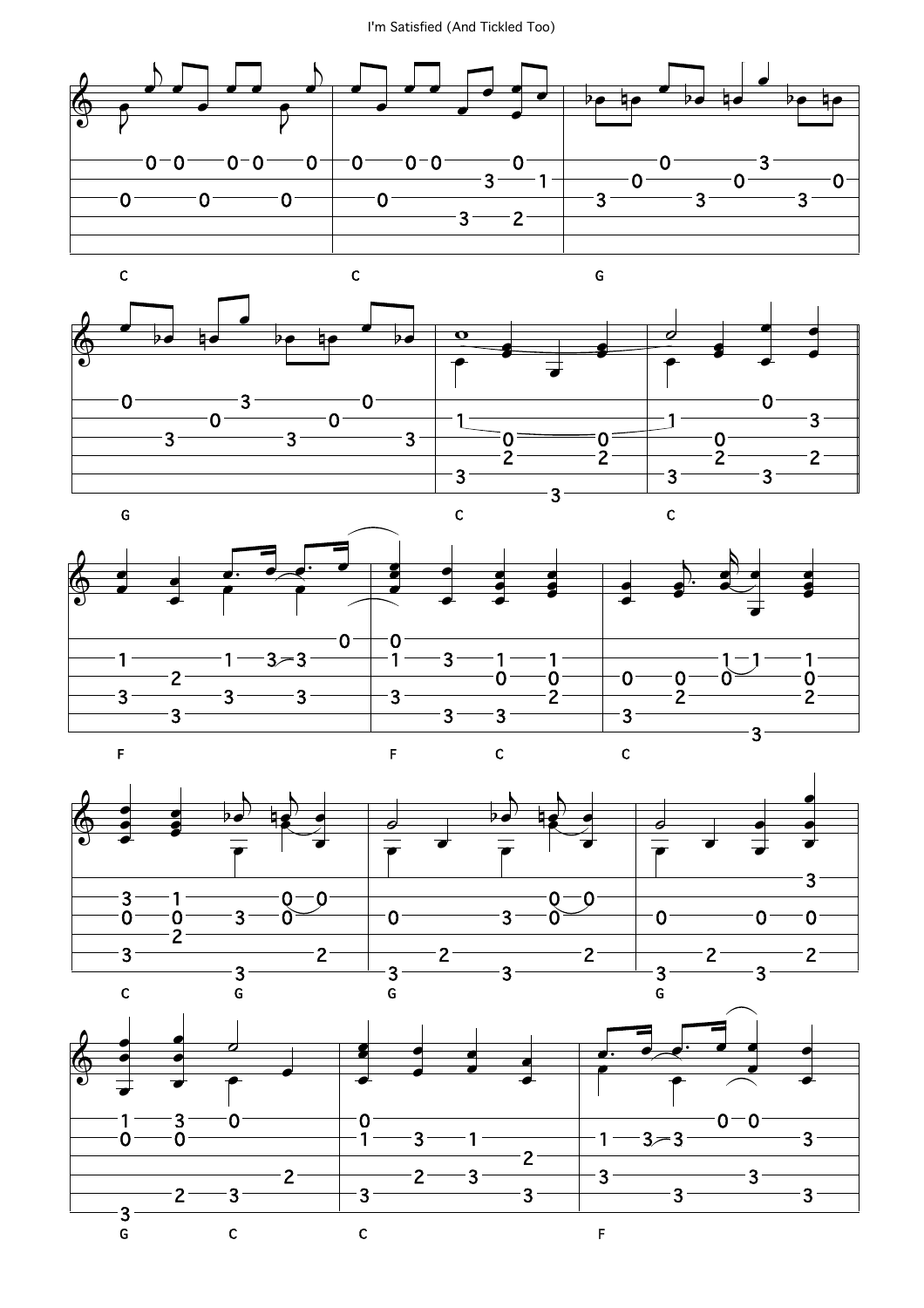I'm Satisfied (And Tickled Too)